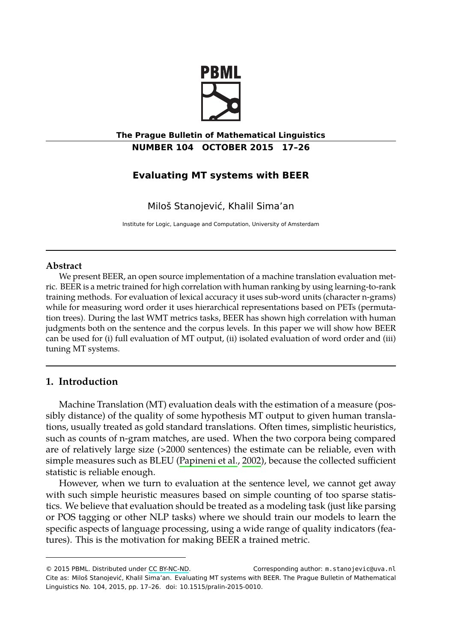

**The Prague Bulletin of Mathematical Linguistics NUMBER 104 OCTOBER 2015 17–26**

# **Evaluating MT systems with BEER**

Miloš Stanojević, Khalil Sima'an

Institute for Logic, Language and Computation, University of Amsterdam

#### **Abstract**

We present BEER, an open source implementation of a machine translation evaluation metric. BEER is a metric trained for high correlation with human ranking by using learning-to-rank training methods. For evaluation of lexical accuracy it uses sub-word units (character n-grams) while for measuring word order it uses hierarchical representations based on PETs (permutation trees). During the last WMT metrics tasks, BEER has shown high correlation with human judgments both on the sentence and the corpus levels. In this paper we will show how BEER can be used for (i) full evaluation of MT output, (ii) isolated evaluation of word order and (iii) tuning MT systems.

# **1. Introduction**

Machine Translation (MT) evaluation deals with the estimation of a measure (possibly distance) of the quality of some hypothesis MT output to given human translations, usually treated as gold standard translations. Often times, simplistic heuristics, such as counts of n-gram matches, are used. When the two corpora being compared are of relatively large size (>2000 sentences) the estimate can be reliable, even with simple measures such as [BLEU \(Pa](http://creativecommons.org/licenses/by-nc-nd/3.0/)pineni et al., 2002), because the collected sufficient statistic is reliable enough.

However, when we turn to evaluation at the sentence level, we cannot get away with such simple heuristic measures based on simple counting of too sparse statistics. We believe that evaluation should be treated as a modeling task (just like parsing or POS tagging or other NLP tasks) where we should train our models to learn the specific aspects of language processing, using a wide range of quality indicators (features). This is the motivation for making BEER a trained metric.

<sup>© 2015</sup> PBML. Distributed under CC BY-NC-ND. Corresponding author: m.stanojevic@uva.nl Cite as: Miloš Stanojević, Khalil Sima'an. Evaluating MT systems with BEER. The Prague Bulletin of Mathematical Linguistics No. 104, 2015, pp. 17–26. doi: 10.1515/pralin-2015-0010.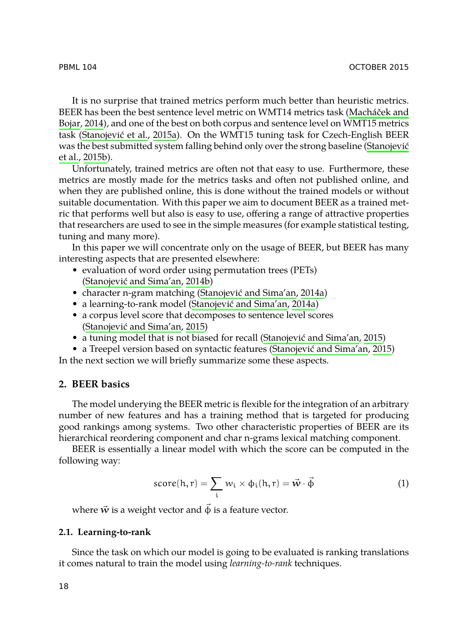It is no surprise that trained metrics perform much better than heuristic metrics. BEER has been the best sentence level metric on WMT14 metrics task (Macháček and Bojar, 2014), and one of the best on both corpus and sentence level on WMT15 metrics task (Stanojević et al., 2015a). On the WMT15 tuning task for Czech-English BEER was the best submitted system falling behind only over the strong baseline (Stanojević et al., 2015b).

Unfortunately, trained metrics are often not that easy to use. Furthermore, these metric[s are mostly made for](#page-9-0) t[he me](#page-9-0)trics tasks and often not published online, and when they are published online, t[his is done without the trained](#page-9-1) models or without suitable documentation. With t[his paper we aim to document B](#page-9-1)EER as a trained metric that performs well but also is easy to use, offering a range of attractive properties that re[searchers are used to see in th](#page-9-2)e simple mea[sures \(for example statis](#page-9-2)t[ical te](#page-9-2)sting, tuning and many more).

In this paper we will concentrate only on the us[age of BEER, but BEER](#page-9-2) [has m](#page-9-2)any interesting aspects that are presented elsewhere:

- evaluation of word order using permutation trees (PETs) (Stanojević and Sima'an, 2014b)
- character n-gram matching (Stanojević and Sima'an, 2014a)
- a learning-to-rank model (Stanojević and Sima'an, 2014a)
- a corpus level score that decomposes to sentence level scores (Stanojević and Sima'an, 2015)
- a tuning model that is not biased for recall (Stanojević and Sima'an, 2015)
- a Treepel version based on syntactic features (Stanojević and Sima'an, 2015)

<span id="page-1-0"></span>In the next section we will briefly summarize some these aspects.

### **2. BEER basics**

The model underying the BEER metric is flexible for the integration of an arbitrary number of new features and has a training method that is targeted for producing good rankings among systems. Two other characteristic properties of BEER are its hierarchical reordering component and char n-grams lexical matching component.

BEER is essentially a linear model with which the score can be computed in the following way:

$$
score(h,r) = \sum_{i} w_i \times \phi_i(h,r) = \vec{w} \cdot \vec{\phi}
$$
 (1)

where  $\vec{w}$  is a weight vector and  $\vec{\phi}$  is a feature vector.

### **2.1. Learning-to-rank**

Since the task on which our model is going to be evaluated is ranking translations it comes natural to train the model using *learning-to-rank* techniques.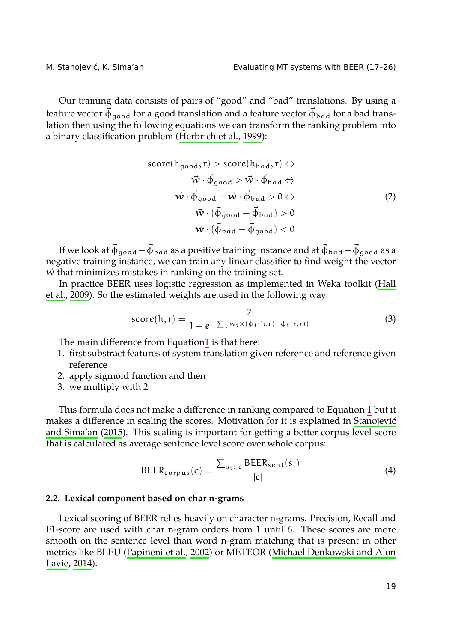Our training data consists of pairs of "good" and "bad" translations. By using a feature vector  $\vec{\phi}_{\rm good}$  for a good translation and a feature vector  $\vec{\phi}_{\rm bad}$  for a bad translation then using the following equations we can transform the ranking problem into a binary classification problem (Herbrich et al., 1999):

score(h<sub>good</sub>,r) > score(h<sub>bad</sub>,r) 
$$
\Leftrightarrow
$$
  
\n $\vec{w} \cdot \vec{\phi}_{good} > \vec{w} \cdot \vec{\phi}_{bad} \Leftrightarrow$   
\n $\vec{w} \cdot \vec{\phi}_{good} - \vec{w} \cdot \vec{\phi}_{bad} > 0 \Leftrightarrow$   
\n $\vec{w} \cdot (\vec{\phi}_{good} - \vec{\phi}_{bad}) > 0$   
\n $\vec{w} \cdot (\vec{\phi}_{bad} - \vec{\phi}_{good}) < 0$ 

If we look at  $\vec{\phi}_{\rm good} - \vec{\phi}_{\rm bad}$  as a positive training instance and at  $\vec{\phi}_{\rm bad} - \vec{\phi}_{\rm good}$  as a negative training instance, we can train any linear classifier to find weight the vector  $\vec{w}$  that minimizes mistakes in ranking on the training set.

In practice BEER uses logistic regression as implemented in Weka toolkit (Hall et al., 2009). So the estimated weights are used in the following way:

$$
score(h,r) = \frac{2}{1 + e^{-\sum_{i} w_i \times (\phi_i(h,r) - \phi_i(r,r))}}
$$
(3)

The main difference from Equation1 is that here:

- 1. first substract features of system translation given reference and reference given reference
- 2. apply sigmoid function and then
- 3. we multiply with 2

This formula does not make a difference in ranking compared to Equation 1 but it makes a difference in scaling the scores. Motivation for it is explained in Stanojević and Sima'an (2015). This scaling is important for getting a better corpus level score that is calculated a[s average sentence lev](#page-9-3)el score over [whole corpus:](#page-9-4)

$$
BEER_{corpus}(c) = \frac{\sum_{s_i \in c} BEER_{sent}(s_i)}{|c|}
$$
 (4)

#### **2.2. Lexical component based on char n-grams**

Lexical scoring of BEER relies heavily on character n-grams. Precision, Recall and F1-score are used with char n-gram orders from 1 until 6. These scores are more smooth on the sentence level than word n-gram matching that is present in other metrics like BLEU (Papineni et al., 2002) or METEOR (Michael Denkowski and Alon Lavie, 2014).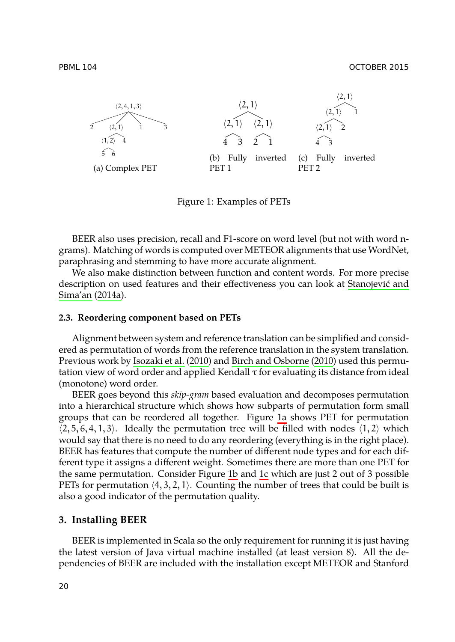<span id="page-3-0"></span>



Figure 1: Examples of PETs

BEER also uses precision, recall and F1-score on word level (but not with word ngrams). Matching [of words is compu](#page-8-0)ted o[ver METEOR alignments](#page-8-1) that use WordNet, paraphrasing and stemming to have more accurate alignment.

We also make distinction between function and content words. For more precise description on used features and their effectiveness you can look at Stanojević and Sima'an (2014a).

#### **2.3. Reordering component based on PETs**

Alignment between system and reference translation can be simplified and considered as permutation of words from the reference translation in the system translation. Previous work by Isozaki et al. (2010) and Birch and Osborne (2010) used this permutation view of word order and applied K[end](#page-3-0)all  $\tau$  [for](#page-3-0) evaluating its distance from ideal (monotone) word order.

BEER goes beyond this *skip-gram* based evaluation and decomposes permutation into a hierarchical structure which shows how subparts of permutation form small groups that can be reordered all together. Figure 1a shows PET for permutation *⟨*2, 5, 6, 4, 1, 3*⟩*. Ideally the permutation tree will be filled with nodes *⟨*1, 2*⟩* which would say that there is no need to do any reordering (everything is in the right place). BEER has features that compute the number of different node types and for each different type it assigns a different weight. Sometimes there are more than one PET for the same permutation. Consider Figure 1b and 1c which are just 2 out of 3 possible PETs for permutation  $(4, 3, 2, 1)$ . Counting the number of trees that could be built is also a good indicator of the permutation quality.

# **3. Installing BEER**

BEER is implemented in Scala so the only requirement for running it is just having the latest version of Java virtual machine installed (at least version 8). All the dependencies of BEER are included with the installation except METEOR and Stanford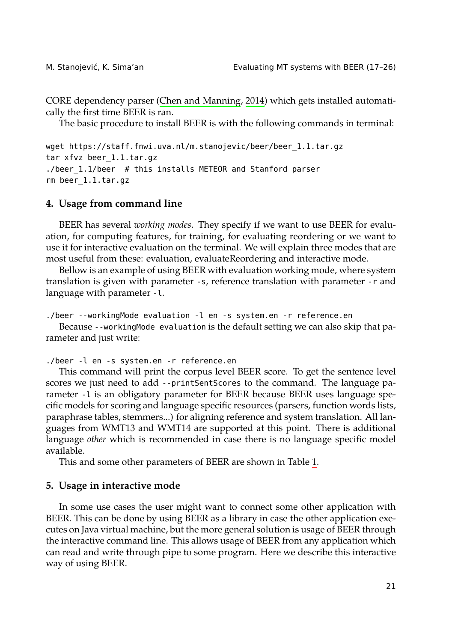CORE dependency parser (Chen and Manning, 2014) which gets installed automatically the first time BEER is ran.

The basic procedure to install BEER is with the following commands in terminal:

```
wget https://staff.fnwi.uva.nl/m.stanojevic/beer/beer_1.1.tar.gz
tar xfvz beer_1.1.tar.gz
./beer_1.1/beer # this installs METEOR and Stanford parser
rm beer_1.1.tar.gz
```
### **4. Usage from command line**

BEER has several *working modes*. They specify if we want to use BEER for evaluation, for computing features, for training, for evaluating reordering or we want to use it for interactive evaluation on the terminal. We will explain three modes that are most useful from these: evaluation, evaluateReordering and interactive mode.

Bellow is an example of using BEER with evaluation working mode, where system translation is given with parameter -s, reference translation with parameter -r and language with parameter -l.

./beer --workingMode evaluation -l en -s system.en -r reference.en

Because --workingMode evaluation is the default setting we can also skip that parameter and just write:

./beer -l en -s system.en -r reference.en

This command will print the corpus level BEER score. To get the sentence level scores we just need to add --printSentScores to the command. The language parameter -l is an obligatory parameter for BEER because BEER uses language specific models for scoring and language specific resources (parsers, function words lists, paraphrase tables, stemmers...) for aligning reference and system translation. All languages from WMT13 and WMT14 are supported at this point. There is additional language *other* which is recommended in case there is no language specific model available.

This and some other parameters of BEER are shown in Table 1.

### **5. Usage in interactive mode**

In some use cases the user might want to connect some other application with BEER. This can be done by using BEER as a library in case the other application executes on Java virtual machine, but the more general solution is usage of BEER through the interactive command line. This allows usage of BEER from any application which can read and write through pipe to some program. Here we describe this interactive way of using BEER.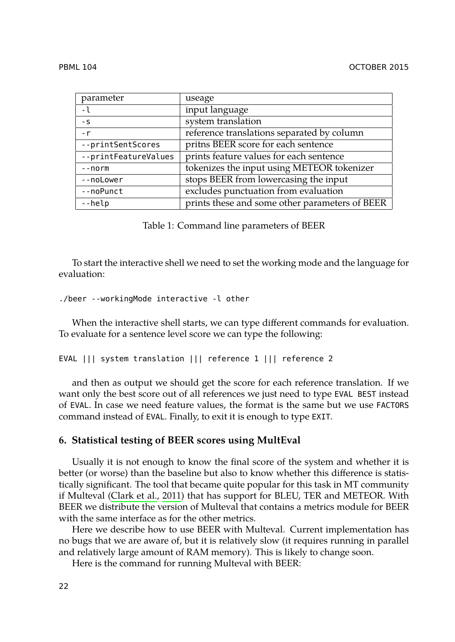| parameter            | useage                                         |
|----------------------|------------------------------------------------|
| $-1$                 | input language                                 |
| - S                  | system translation                             |
| $-r$                 | reference translations separated by column     |
| --printSentScores    | pritns BEER score for each sentence            |
| --printFeatureValues | prints feature values for each sentence        |
| $-$ -norm            | tokenizes the input using METEOR tokenizer     |
| --noLower            | stops BEER from lowercasing the input          |
| --noPunct            | excludes punctuation from evaluation           |
| --help               | prints these and some other parameters of BEER |

Table 1: Command line parameters of BEER

To start the interactive shell we need to set the working mode and the language for evaluation:

```
./beer --workingMode interactive -l other
```
When the interactive shell starts, we can type different commands for evaluation. To evaluate for a sentence level score we can type the following:

```
EVAL ||| system translation ||| reference 1 ||| reference 2
```
and then as output we should get the score for each reference translation. If we want only t[he best score out o](#page-8-2)f all references we just need to type EVAL BEST instead of EVAL. In case we need feature values, the format is the same but we use FACTORS command instead of EVAL. Finally, to exit it is enough to type EXIT.

# **6. Statistical testing of BEER scores using MultEval**

Usually it is not enough to know the final score of the system and whether it is better (or worse) than the baseline but also to know whether this difference is statistically significant. The tool that became quite popular for this task in MT community if Multeval (Clark et al., 2011) that has support for BLEU, TER and METEOR. With BEER we distribute the version of Multeval that contains a metrics module for BEER with the same interface as for the other metrics.

Here we describe how to use BEER with Multeval. Current implementation has no bugs that we are aware of, but it is relatively slow (it requires running in parallel and relatively large amount of RAM memory). This is likely to change soon.

Here is the command for running Multeval with BEER: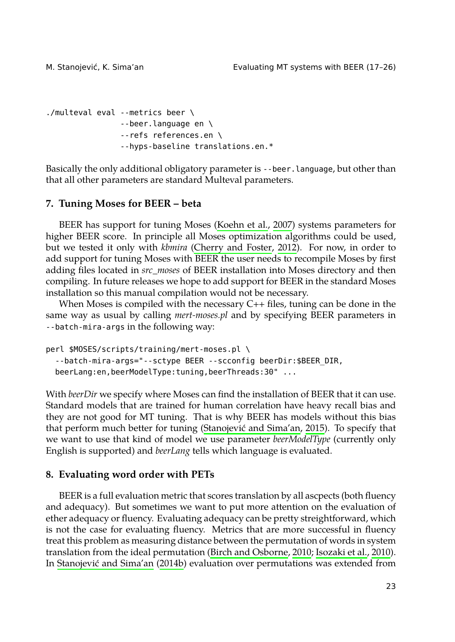```
./multeval eval --metrics beer \
               --beer.language en \
                --refs references.en \
                --hyps-baseline translations.en.*
```
Basically the only additional obligatory parameter is --beer.language, but other than that all other parameters are standard Multeval parameters.

# **7. Tuning Moses for BEER – beta**

BEER has support for tuning Moses (Koehn et al., 2007) systems parameters for higher BEER score. In principle all Moses optimization algorithms could be used, but we tested it only with *kbmira* (Cherry and Foster, 2012). For now, in order to add support for tuning Moses with BEER the user needs to recompile Moses by first adding files located in *src\_moses* of BEER installation into Moses directory and then compiling. In future releases we hope to add support for BEER in the standard Moses installation so this manual compilation would not be necessary.

When Moses is compiled with the necessary C++ files, tuning can be done in the same way as usual by calling *mert-moses.pl* [and by specifying BEE](#page-9-2)R parameters in --batch-mira-args in the following way:

```
perl $MOSES/scripts/training/mert-moses.pl \
  --batch-mira-args="--sctype BEER --scconfig beerDir:$BEER_DIR,
 beerLang:en,beerModelType:tuning,beerThreads:30" ...
```
With *beerDir* we specify where Moses can find the installation of BEER that it can use. Standard models that are trained for human correlation have heavy recall bias and they are not good for MT tuning. That is why BEER has models without this bias that perform much better for tuning (Stanojević and Sima'an, 2015). To specify that we want to use that kind of model we use parameter *beerModelType* [\(currently only](#page-8-0) En[glish is supported\) and](#page-9-0) *[beerLan](#page-9-0)g* tells [which language is](#page-8-1) [evalu](#page-8-1)ated.

### **8. Evaluating word order with PETs**

BEER is a full evaluation metric that scores translation by all ascpects (both fluency and adequacy). But sometimes we want to put more attention on the evaluation of ether adequacy or fluency. Evaluating adequacy can be pretty streightforward, which is not the case for evaluating fluency. Metrics that are more successful in fluency treat this problem as measuring distance between the permutation of words in system translation from the ideal permutation (Birch and Osborne, 2010; Isozaki et al., 2010). In Stanojević and Sima'an (2014b) evaluation over permutations was extended from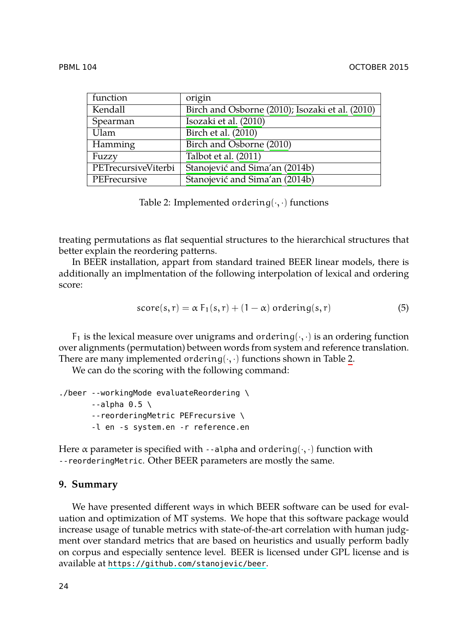<span id="page-7-0"></span>

| function            | origin                                          |
|---------------------|-------------------------------------------------|
| Kendall             | Birch and Osborne (2010); Isozaki et al. (2010) |
| Spearman            | Isozaki et al. (2010)                           |
| Ulam                | Birch et al. (2010)                             |
| Hamming             | Birch and Osborne (2010)                        |
| Fuzzy               | Talbot et al. (2011)                            |
| PETrecursiveViterbi | Stanojević and Sima'an (2014b)                  |
| PEFrecursive        | Stanojević and Sima'an (2014b)                  |

Table 2: Implemented ordering(*·*, *·*) functions

treating permutations as flat sequential structures to the hierarchical structures that better explain the reordering patterns.

In BEER installation, appart from standard trained BEER linear [mo](#page-7-0)dels, there is additionally an implmentation of the following interpolation of lexical and ordering score:

$$
score(s,r) = \alpha F_1(s,r) + (1-\alpha) \text{ ordering}(s,r) \tag{5}
$$

 $F_1$  is the lexical measure over unigrams and ordering( $\cdot$ , $\cdot$ ) is an ordering function over alignments (permutation) between words from system and reference translation. There are many implemented ordering(*·*, *·*) functions shown in Table 2.

We can do the scoring with the following command:

```
./beer --workingMode evaluateReordering \
      -alpha 0.5 \
       --reorderingMetric PEFrecursive \
      -l en -s system.en -r reference.en
```
Here α parameter is specified with --alpha and ordering(*·*, *·*) function with --reorderingMetric[. Other BEER parameters are m](https://github.com/stanojevic/beer)ostly the same.

### **9. Summary**

We have presented different ways in which BEER software can be used for evaluation and optimization of MT systems. We hope that this software package would increase usage of tunable metrics with state-of-the-art correlation with human judgment over standard metrics that are based on heuristics and usually perform badly on corpus and especially sentence level. BEER is licensed under GPL license and is available at https://github.com/stanojevic/beer.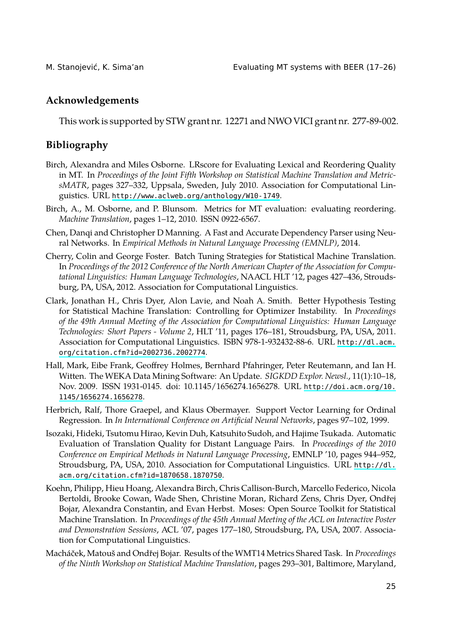<span id="page-8-1"></span>

# **Acknowledgements**

This work is supported by STW grant nr. 12271 and NWO VICI grant nr. 277-89-002.

# <span id="page-8-3"></span>**Bibliography**

- Birch, Alexandra and Miles Osborne. LRscore for Evaluating Lexical and Reordering Quality in MT. In *Proceedings of the Joint Fifth Workshop on Statistical Machine Translation and MetricsMATR*, pages 327–332, Uppsala, Sweden, July 2010. Association for Computational Linguistics. URL http://www.aclweb.org/anthology/W10-1749.
- <span id="page-8-2"></span>Birch, A., M. Osborne, and P. Blunsom. Metrics for MT evaluation: evaluating reordering. *Machine Translation*, pages 1–12, 2010. ISSN 0922-6567.
- Chen, Danqi and Christopher D Manning. A Fast and Accurate Dependency P[arser using Neu](http://dl.acm.org/citation.cfm?id=2002736.2002774)ral Networks. In *[Empirical Methods in Na](http://dl.acm.org/citation.cfm?id=2002736.2002774)tural Language Processing (EMNLP)*, 2014.
- Cherry, Colin and George Foster. Batch Tuning Strategies for Statistical Machine Translation. In *Proceedings of the 2012 Conference of the North American Chapter of the Association for Computational Linguistics: Human Language Technologies*, NAACL HLT '12[, pages 427–436, Strouds](http://doi.acm.org/10.1145/1656274.1656278)[burg, PA, USA, 2012. A](http://doi.acm.org/10.1145/1656274.1656278)ssociation for Computational Linguistics.
- <span id="page-8-0"></span>Clark, Jonathan H., Chris Dyer, Alon Lavie, and Noah A. Smith. Better Hypothesis Testing for Statistical Machine Translation: Controlling for Optimizer Instability. In *Proceedings of the 49th Annual Meeting of the Association for Computational Linguistics: Human Language Technologies: Short Papers - Volume 2*, HLT '11, pages 176–181, Stroudsburg, PA, USA, 2011. Association for Computational Linguistics. ISBN 978-1-932432-88-6. URL http://dl.acm. org/citation.cfm?id=2002736.2002774.
- Ha[ll, Mark, Eibe Frank, Geoffrey Holmes, Bern](http://dl.acm.org/citation.cfm?id=1870658.1870750)hard Pfahringer, Peter Reutemann, [and Ian H.](http://dl.acm.org/citation.cfm?id=1870658.1870750) Witten. The WEKA Data Mining Software: An Update. *SIGKDD Explor. Newsl.*, 11(1):10–18, Nov. 2009. ISSN 1931-0145. doi: 10.1145/1656274.1656278. URL http://doi.acm.org/10. 1145/1656274.1656278.
- Herbrich, Ralf, Thore Graepel, and Klaus Obermayer. Support Vector Learning for Ordinal Regression. In *In International Conference on Artificial Neural Networks*, pages 97–102, 1999.
- Isozaki, Hideki, Tsutomu Hirao, Kevin Duh, Katsuhito Sudoh, and Hajime Tsukada. Automatic Evaluation of Translation Quality for Distant Language Pairs. In *Proceedings of the 2010 Conference on Empirical Methods in Natural Language Processing*, EMNLP '10, pages 944–952, Stroudsburg, PA, USA, 2010. Association for Computational Linguistics. URL http://dl. acm.org/citation.cfm?id=1870658.1870750.
- Koehn, Philipp, Hieu Hoang, Alexandra Birch, Chris Callison-Burch, Marcello Federico, Nicola Bertoldi, Brooke Cowan, Wade Shen, Christine Moran, Richard Zens, Chris Dyer, Ondřej Bojar, Alexandra Constantin, and Evan Herbst. Moses: Open Source Toolkit for Statistical Machine Translation. In *Proceedings of the 45th Annual Meeting of the ACL on Interactive Poster and Demonstration Sessions*, ACL '07, pages 177–180, Stroudsburg, PA, USA, 2007. Association for Computational Linguistics.
- Macháček, Matouš and Ondřej Bojar. Results of the WMT14 Metrics Shared Task. In *Proceedings of the Ninth Workshop on Statistical Machine Translation*, pages 293–301, Baltimore, Maryland,